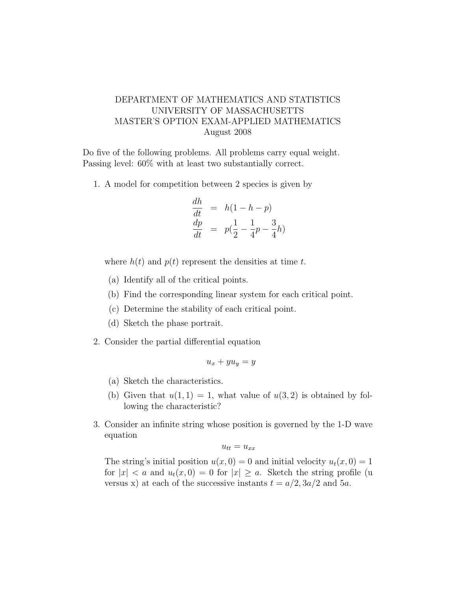## DEPARTMENT OF MATHEMATICS AND STATISTICS UNIVERSITY OF MASSACHUSETTS MASTER'S OPTION EXAM-APPLIED MATHEMATICS August 2008

Do five of the following problems. All problems carry equal weight. Passing level: 60% with at least two substantially correct.

1. A model for competition between 2 species is given by

$$
\begin{array}{rcl}\n\frac{dh}{dt} & = & h(1-h-p) \\
\frac{dp}{dt} & = & p(\frac{1}{2} - \frac{1}{4}p - \frac{3}{4}h)\n\end{array}
$$

where  $h(t)$  and  $p(t)$  represent the densities at time t.

- (a) Identify all of the critical points.
- (b) Find the corresponding linear system for each critical point.
- (c) Determine the stability of each critical point.
- (d) Sketch the phase portrait.
- 2. Consider the partial differential equation

$$
u_x + yu_y = y
$$

- (a) Sketch the characteristics.
- (b) Given that  $u(1, 1) = 1$ , what value of  $u(3, 2)$  is obtained by following the characteristic?
- 3. Consider an infinite string whose position is governed by the 1-D wave equation

$$
u_{tt} = u_{xx}
$$

The string's initial position  $u(x, 0) = 0$  and initial velocity  $u_t(x, 0) = 1$ for  $|x| < a$  and  $u_t(x, 0) = 0$  for  $|x| \ge a$ . Sketch the string profile (u versus x) at each of the successive instants  $t = a/2$ ,  $3a/2$  and  $5a$ .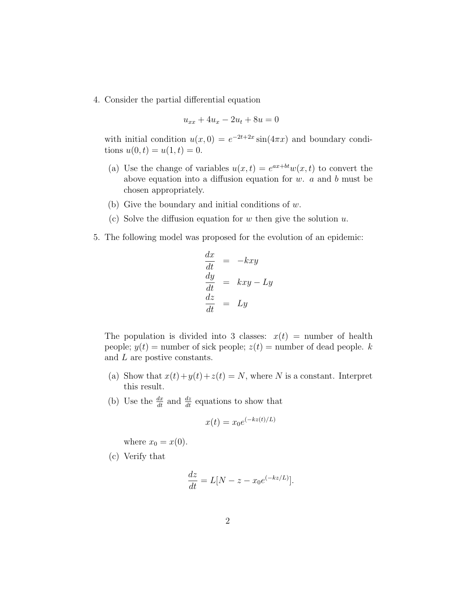4. Consider the partial differential equation

$$
u_{xx} + 4u_x - 2u_t + 8u = 0
$$

with initial condition  $u(x, 0) = e^{-2t+2x} \sin(4\pi x)$  and boundary conditions  $u(0, t) = u(1, t) = 0$ .

- (a) Use the change of variables  $u(x,t) = e^{ax+bt}w(x,t)$  to convert the above equation into a diffusion equation for  $w$ .  $a$  and  $b$  must be chosen appropriately.
- (b) Give the boundary and initial conditions of w.
- (c) Solve the diffusion equation for w then give the solution  $u$ .
- 5. The following model was proposed for the evolution of an epidemic:

$$
\begin{array}{rcl}\n\frac{dx}{dt} & = & -kxy\\ \n\frac{dy}{dt} & = & kxy - Ly\\ \n\frac{dz}{dt} & = & Ly\n\end{array}
$$

The population is divided into 3 classes:  $x(t)$  = number of health people;  $y(t)$  = number of sick people;  $z(t)$  = number of dead people. k and L are postive constants.

- (a) Show that  $x(t)+y(t)+z(t) = N$ , where N is a constant. Interpret this result.
- (b) Use the  $\frac{dx}{dt}$  and  $\frac{dz}{dt}$  equations to show that

$$
x(t) = x_0 e^{(-kz(t)/L)}
$$

where  $x_0 = x(0)$ .

(c) Verify that

$$
\frac{dz}{dt} = L[N - z - x_0 e^{(-kz/L)}].
$$